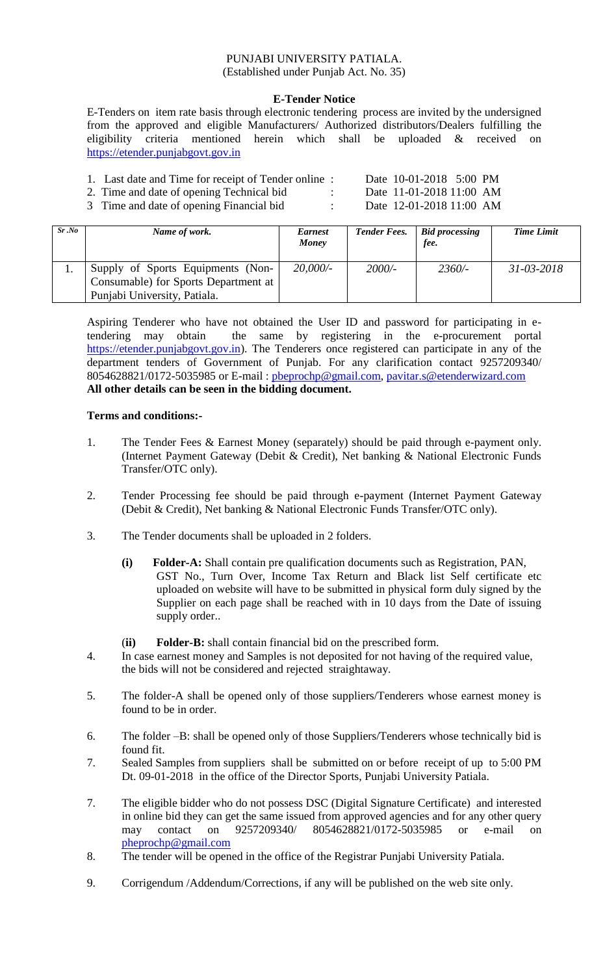## PUNJABI UNIVERSITY PATIALA. (Established under Punjab Act. No. 35)

### **E-Tender Notice**

E-Tenders on item rate basis through electronic tendering process are invited by the undersigned from the approved and eligible Manufacturers/ Authorized distributors/Dealers fulfilling the eligibility criteria mentioned herein which shall be uploaded & received on [https://etender.punjabgovt.gov.in](https://etender.punjabgovt.gov.in/)

- 1. Last date and Time for receipt of Tender online : Date 10-01-2018 5:00 PM
- 2. Time and date of opening Technical bid : Date 11-01-2018 11:00 AM

3 Time and date of opening Financial bid : Date 12-01-2018 11:00 AM

| Sr.No | Name of work.                        | <i>Earnest</i><br>Money | <b>Tender Fees.</b> | <b>Bid processing</b><br>fee. | <b>Time Limit</b> |
|-------|--------------------------------------|-------------------------|---------------------|-------------------------------|-------------------|
|       | Supply of Sports Equipments (Non-    | 20,000/                 | $2000/-$            | $2360/-$                      | $31 - 03 - 2018$  |
|       | Consumable) for Sports Department at |                         |                     |                               |                   |
|       | Punjabi University, Patiala.         |                         |                     |                               |                   |

Aspiring Tenderer who have not obtained the User ID and password for participating in etendering may obtain the same by registering in the e-procurement portal [https://etender.punjabgovt.gov.in\)](https://etender.punjabgovt.gov.in/). The Tenderers once registered can participate in any of the department tenders of Government of Punjab. For any clarification contact 9257209340/ 8054628821/0172-5035985 or E-mail: [pbeprochp@gmail.com,](mailto:pbeprochp@gmail.com) [pavitar.s@etenderwizard.com](mailto:pavitar.s@etenderwizard.com) **All other details can be seen in the bidding document.**

#### **Terms and conditions:-**

- 1. The Tender Fees & Earnest Money (separately) should be paid through e-payment only. (Internet Payment Gateway (Debit & Credit), Net banking & National Electronic Funds Transfer/OTC only).
- 2. Tender Processing fee should be paid through e-payment (Internet Payment Gateway (Debit & Credit), Net banking & National Electronic Funds Transfer/OTC only).
- 3. The Tender documents shall be uploaded in 2 folders.
	- **(i) Folder-A:** Shall contain pre qualification documents such as Registration, PAN, GST No., Turn Over, Income Tax Return and Black list Self certificate etc uploaded on website will have to be submitted in physical form duly signed by the Supplier on each page shall be reached with in 10 days from the Date of issuing supply order..
	- (**ii) Folder-B:** shall contain financial bid on the prescribed form.
- 4. In case earnest money and Samples is not deposited for not having of the required value, the bids will not be considered and rejected straightaway.
- 5. The folder-A shall be opened only of those suppliers/Tenderers whose earnest money is found to be in order.
- 6. The folder –B: shall be opened only of those Suppliers/Tenderers whose technically bid is found fit.
- 7. Sealed Samples from suppliers shall be submitted on or before receipt of up to 5:00 PM Dt. 09-01-2018 in the office of the Director Sports, Punjabi University Patiala.
- 7. The eligible bidder who do not possess DSC (Digital Signature Certificate) and interested in online bid they can get the same issued from approved agencies and for any other query may contact on 9257209340/ 8054628821/0172-5035985 or e-mail on [pheprochp@gmail.com](mailto:pheprochp@gmail.com)
- 8. The tender will be opened in the office of the Registrar Punjabi University Patiala.
- 9. Corrigendum /Addendum/Corrections, if any will be published on the web site only.